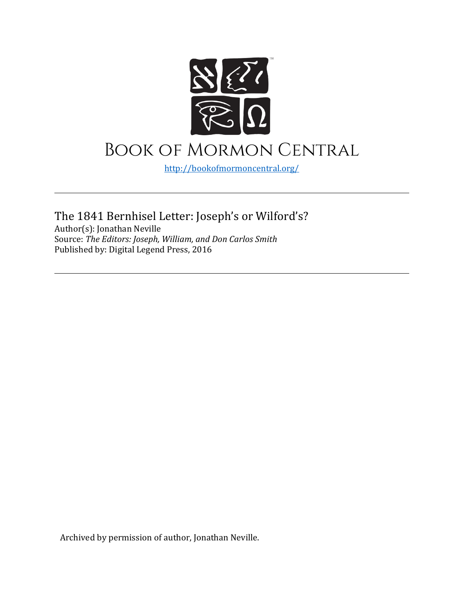

<http://bookofmormoncentral.org/>

The 1841 Bernhisel Letter: Joseph's or Wilford's? Author(s): Jonathan Neville Source: *The Editors: Joseph, William, and Don Carlos Smith* Published by: Digital Legend Press, 2016

Archived by permission of author, Jonathan Neville.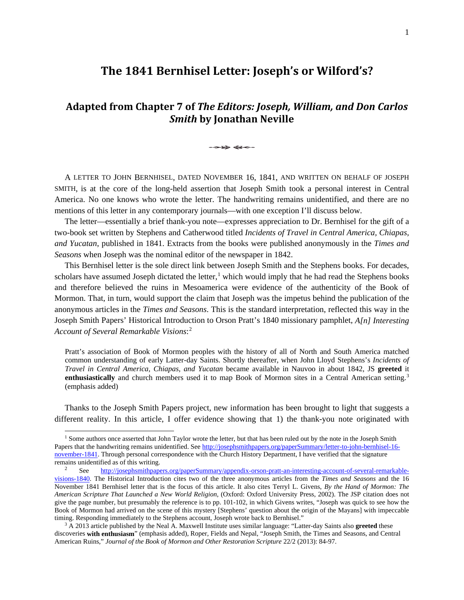# **The 1841 Bernhisel Letter: Joseph's or Wilford's?**

# **Adapted from Chapter 7 of** *The Editors: Joseph, William, and Don Carlos Smith* **by Jonathan Neville**

A LETTER TO JOHN BERNHISEL, DATED NOVEMBER 16, 1841, AND WRITTEN ON BEHALF OF JOSEPH SMITH, is at the core of the long-held assertion that Joseph Smith took a personal interest in Central America. No one knows who wrote the letter. The handwriting remains unidentified, and there are no mentions of this letter in any contemporary journals—with one exception I'll discuss below.

The letter—essentially a brief thank-you note—expresses appreciation to Dr. Bernhisel for the gift of a two-book set written by Stephens and Catherwood titled *Incidents of Travel in Central America, Chiapas, and Yucatan*, published in 1841. Extracts from the books were published anonymously in the *Times and Seasons* when Joseph was the nominal editor of the newspaper in 1842.

This Bernhisel letter is the sole direct link between Joseph Smith and the Stephens books. For decades, scholars have assumed Joseph dictated the letter,<sup>[1](#page-1-0)</sup> which would imply that he had read the Stephens books and therefore believed the ruins in Mesoamerica were evidence of the authenticity of the Book of Mormon. That, in turn, would support the claim that Joseph was the impetus behind the publication of the anonymous articles in the *Times and Seasons*. This is the standard interpretation, reflected this way in the Joseph Smith Papers' Historical Introduction to Orson Pratt's 1840 missionary pamphlet, *A[n] Interesting Account of Several Remarkable Visions*: [2](#page-1-1)

Pratt's association of Book of Mormon peoples with the history of all of North and South America matched common understanding of early Latter-day Saints. Shortly thereafter, when John Lloyd Stephens's *Incidents of Travel in Central America, Chiapas, and Yucatan* became available in Nauvoo in about 1842, JS **greeted** it **enthusiastically** and church members used it to map Book of Mormon sites in a Central American setting.<sup>[3](#page-1-2)</sup> (emphasis added)

Thanks to the Joseph Smith Papers project, new information has been brought to light that suggests a different reality. In this article, I offer evidence showing that 1) the thank-you note originated with

<span id="page-1-0"></span><sup>&</sup>lt;sup>1</sup> Some authors once asserted that John Taylor wrote the letter, but that has been ruled out by the note in the Joseph Smith Papers that the handwriting remains unidentified. See [http://josephsmithpapers.org/paperSummary/letter-to-john-bernhisel-16](http://josephsmithpapers.org/paperSummary/letter-to-john-bernhisel-16-november-1841) [november-1841.](http://josephsmithpapers.org/paperSummary/letter-to-john-bernhisel-16-november-1841) Through personal correspondence with the Church History Department, I have verified that the signature remains unidentified as of this writing.<br>
<sup>2</sup> See [http://josephsmithpapers.org/paperSummary/appendix-orson-pratt-an-interesting-account-of-several-remarkable-](http://josephsmithpapers.org/paperSummary/appendix-orson-pratt-an-interesting-account-of-several-remarkable-visions-1840)

<span id="page-1-1"></span>[visions-1840.](http://josephsmithpapers.org/paperSummary/appendix-orson-pratt-an-interesting-account-of-several-remarkable-visions-1840) The Historical Introduction cites two of the three anonymous articles from the *Times and Seasons* and the 16 November 1841 Bernhisel letter that is the focus of this article. It also cites Terryl L. Givens, *By the Hand of Mormon: The American Scripture That Launched a New World Religion*, (Oxford: Oxford University Press, 2002). The JSP citation does not give the page number, but presumably the reference is to pp. 101-102, in which Givens writes, "Joseph was quick to see how the Book of Mormon had arrived on the scene of this mystery [Stephens' question about the origin of the Mayans] with impeccable timing. Responding immediately to the Stephens account, Joseph wrote back to Bernhisel."

<span id="page-1-2"></span><sup>3</sup> A 2013 article published by the Neal A. Maxwell Institute uses similar language: "Latter-day Saints also **greeted** these discoveries **with enthusiasm**" (emphasis added), Roper, Fields and Nepal, "Joseph Smith, the Times and Seasons, and Central American Ruins," *Journal of the Book of Mormon and Other Restoration Scripture* 22/2 (2013): 84-97.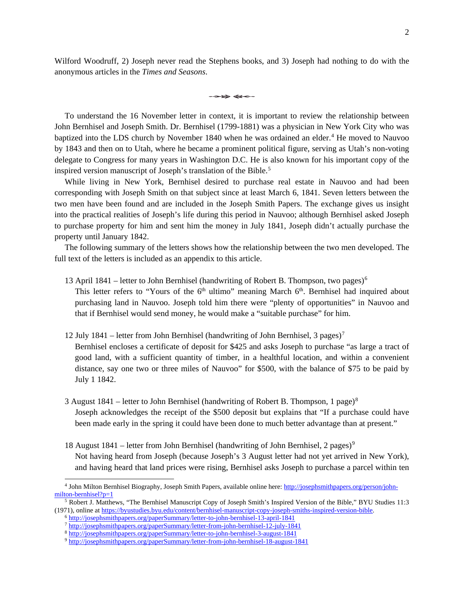Wilford Woodruff, 2) Joseph never read the Stephens books, and 3) Joseph had nothing to do with the anonymous articles in the *Times and Seasons*.

 $\rightarrow \rightarrow \rightarrow \rightarrow \rightarrow \rightarrow \rightarrow \rightarrow$ 

To understand the 16 November letter in context, it is important to review the relationship between John Bernhisel and Joseph Smith. Dr. Bernhisel (1799-1881) was a physician in New York City who was baptized into the LDS church by November 18[4](#page-2-0)0 when he was ordained an elder.<sup>4</sup> He moved to Nauvoo by 1843 and then on to Utah, where he became a prominent political figure, serving as Utah's non-voting delegate to Congress for many years in Washington D.C. He is also known for his important copy of the inspired version manuscript of Joseph's translation of the Bible. [5](#page-2-1)

While living in New York, Bernhisel desired to purchase real estate in Nauvoo and had been corresponding with Joseph Smith on that subject since at least March 6, 1841. Seven letters between the two men have been found and are included in the Joseph Smith Papers. The exchange gives us insight into the practical realities of Joseph's life during this period in Nauvoo; although Bernhisel asked Joseph to purchase property for him and sent him the money in July 1841, Joseph didn't actually purchase the property until January 1842.

The following summary of the letters shows how the relationship between the two men developed. The full text of the letters is included as an appendix to this article.

- 13 April 1841 letter to John Bernhisel (handwriting of Robert B. Thompson, two pages)<sup>[6](#page-2-2)</sup> This letter refers to "Yours of the  $6<sup>th</sup>$  ultimo" meaning March  $6<sup>th</sup>$ . Bernhisel had inquired about purchasing land in Nauvoo. Joseph told him there were "plenty of opportunities" in Nauvoo and that if Bernhisel would send money, he would make a "suitable purchase" for him.
- 12 July 1841 letter from John Bernhisel (handwriting of John Bernhisel, 3 pages)<sup>[7](#page-2-3)</sup> Bernhisel encloses a certificate of deposit for \$425 and asks Joseph to purchase "as large a tract of good land, with a sufficient quantity of timber, in a healthful location, and within a convenient distance, say one two or three miles of Nauvoo" for \$500, with the balance of \$75 to be paid by July 1 1842.
- 3 August 1[8](#page-2-4)41 letter to John Bernhisel (handwriting of Robert B. Thompson, 1 page)<sup>8</sup> Joseph acknowledges the receipt of the \$500 deposit but explains that "If a purchase could have been made early in the spring it could have been done to much better advantage than at present."
- 18 August 1841 letter from John Bernhisel (handwriting of John Bernhisel, 2 pages)<sup>[9](#page-2-5)</sup> Not having heard from Joseph (because Joseph's 3 August letter had not yet arrived in New York), and having heard that land prices were rising, Bernhisel asks Joseph to purchase a parcel within ten

<span id="page-2-0"></span> <sup>4</sup> John Milton Bernhisel Biography, Joseph Smith Papers, available online here[: http://josephsmithpapers.org/person/john](http://josephsmithpapers.org/person/john-milton-bernhisel?p=1)[milton-bernhisel?p=1](http://josephsmithpapers.org/person/john-milton-bernhisel?p=1)

<span id="page-2-4"></span><span id="page-2-3"></span><span id="page-2-2"></span><span id="page-2-1"></span><sup>5</sup> Robert J. Matthews, "The Bernhisel Manuscript Copy of Joseph Smith's Inspired Version of the Bible," BYU Studies 11:3 (1971), online at [https://byustudies.byu.edu/content/bernhisel-manuscript-copy-joseph-smiths-inspired-version-bible.](https://byustudies.byu.edu/content/bernhisel-manuscript-copy-joseph-smiths-inspired-version-bible)

<sup>6</sup> <http://josephsmithpapers.org/paperSummary/letter-to-john-bernhisel-13-april-1841>

<sup>7</sup> <http://josephsmithpapers.org/paperSummary/letter-from-john-bernhisel-12-july-1841>

<sup>8</sup> <http://josephsmithpapers.org/paperSummary/letter-to-john-bernhisel-3-august-1841>

<span id="page-2-5"></span><sup>9</sup> <http://josephsmithpapers.org/paperSummary/letter-from-john-bernhisel-18-august-1841>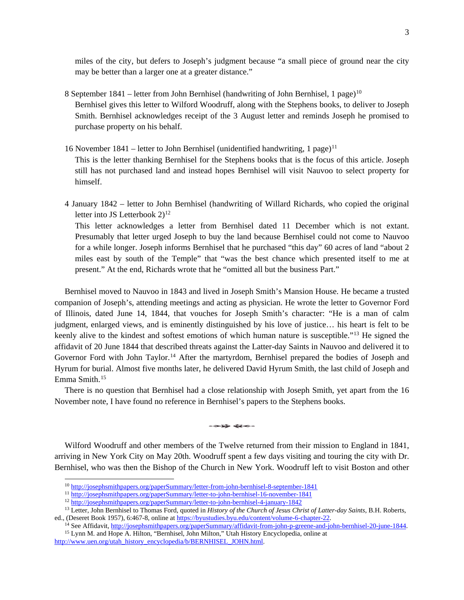miles of the city, but defers to Joseph's judgment because "a small piece of ground near the city may be better than a larger one at a greater distance."

- 8 September 1841 letter from John Bernhisel (handwriting of John Bernhisel, 1 page)<sup>[10](#page-3-0)</sup> Bernhisel gives this letter to Wilford Woodruff, along with the Stephens books, to deliver to Joseph Smith. Bernhisel acknowledges receipt of the 3 August letter and reminds Joseph he promised to purchase property on his behalf.
- 16 November 1841 letter to John Bernhisel (unidentified handwriting, 1 page)<sup>[11](#page-3-1)</sup> This is the letter thanking Bernhisel for the Stephens books that is the focus of this article. Joseph still has not purchased land and instead hopes Bernhisel will visit Nauvoo to select property for himself.
- 4 January 1842 letter to John Bernhisel (handwriting of Willard Richards, who copied the original letter into JS Letterbook  $2)^{12}$  $2)^{12}$  $2)^{12}$ This letter acknowledges a letter from Bernhisel dated 11 December which is not extant.

Presumably that letter urged Joseph to buy the land because Bernhisel could not come to Nauvoo for a while longer. Joseph informs Bernhisel that he purchased "this day" 60 acres of land "about 2 miles east by south of the Temple" that "was the best chance which presented itself to me at present." At the end, Richards wrote that he "omitted all but the business Part."

Bernhisel moved to Nauvoo in 1843 and lived in Joseph Smith's Mansion House. He became a trusted companion of Joseph's, attending meetings and acting as physician. He wrote the letter to Governor Ford of Illinois, dated June 14, 1844, that vouches for Joseph Smith's character: "He is a man of calm judgment, enlarged views, and is eminently distinguished by his love of justice… his heart is felt to be keenly alive to the kindest and softest emotions of which human nature is susceptible."[13](#page-3-3) He signed the affidavit of 20 June 1844 that described threats against the Latter-day Saints in Nauvoo and delivered it to Governor Ford with John Taylor.[14](#page-3-4) After the martyrdom, Bernhisel prepared the bodies of Joseph and Hyrum for burial. Almost five months later, he delivered David Hyrum Smith, the last child of Joseph and Emma Smith.[15](#page-3-5)

There is no question that Bernhisel had a close relationship with Joseph Smith, yet apart from the 16 November note, I have found no reference in Bernhisel's papers to the Stephens books.

Wilford Woodruff and other members of the Twelve returned from their mission to England in 1841, arriving in New York City on May 20th. Woodruff spent a few days visiting and touring the city with Dr. Bernhisel, who was then the Bishop of the Church in New York. Woodruff left to visit Boston and other

 <sup>10</sup> <http://josephsmithpapers.org/paperSummary/letter-from-john-bernhisel-8-september-1841>

<sup>11</sup> <http://josephsmithpapers.org/paperSummary/letter-to-john-bernhisel-16-november-1841>

<sup>12</sup> <http://josephsmithpapers.org/paperSummary/letter-to-john-bernhisel-4-january-1842>

<span id="page-3-4"></span><span id="page-3-3"></span><span id="page-3-2"></span><span id="page-3-1"></span><span id="page-3-0"></span><sup>13</sup> Letter, John Bernhisel to Thomas Ford, quoted in *History of the Church of Jesus Christ of Latter-day Saints*, B.H. Roberts, ed., (Deseret Book 1957), 6:467-8, online a[t https://byustudies.byu.edu/content/volume-6-chapter-22.](https://byustudies.byu.edu/content/volume-6-chapter-22)

<sup>&</sup>lt;sup>14</sup> See Affidavit[, http://josephsmithpapers.org/paperSummary/affidavit-from-john-p-greene-and-john-bernhisel-20-june-1844.](http://josephsmithpapers.org/paperSummary/affidavit-from-john-p-greene-and-john-bernhisel-20-june-1844) <sup>15</sup> Lynn M. and Hope A. Hilton, "Bernhisel, John Milton," Utah History Encyclopedia, online at

<span id="page-3-5"></span>[http://www.uen.org/utah\\_history\\_encyclopedia/b/BERNHISEL\\_JOHN.html.](http://www.uen.org/utah_history_encyclopedia/b/BERNHISEL_JOHN.html)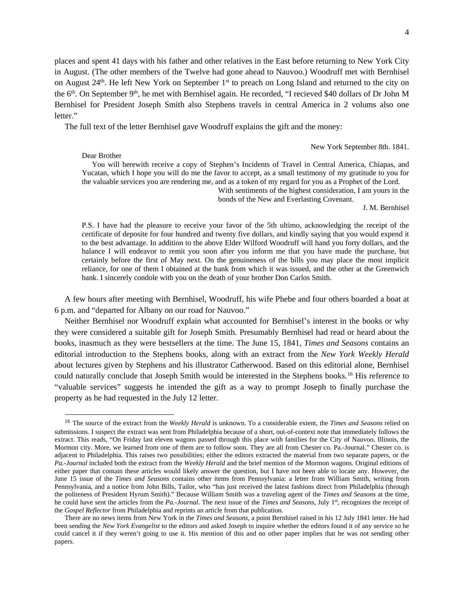places and spent 41 days with his father and other relatives in the East before returning to New York City in August. (The other members of the Twelve had gone ahead to Nauvoo.) Woodruff met with Bernhisel on August 24<sup>th</sup>. He left New York on September 1<sup>st</sup> to preach on Long Island and returned to the city on the 6<sup>th</sup>. On September 9<sup>th</sup>, he met with Bernhisel again. He recorded, "I recieved \$40 dollars of Dr John M Bernhisel for President Joseph Smith also Stephens travels in central America in 2 volums also one letter."

The full text of the letter Bernhisel gave Woodruff explains the gift and the money:

Dear Brother

New York September 8th. 1841.

You will herewith receive a copy of Stephen's Incidents of Travel in Central America, Chiapas, and Yucatan, which I hope you will do me the favor to accept, as a small testimony of my gratitude to you for the valuable services you are rendering me, and as a token of my regard for you as a Prophet of the Lord.

With sentiments of the highest consideration, I am yours in the bonds of the New and Everlasting Covenant.

J. M. Bernhisel

P.S. I have had the pleasure to receive your favor of the 5th ultimo, acknowledging the receipt of the certificate of deposite for four hundred and twenty five dollars, and kindly saying that you would expend it to the best advantage. In addition to the above Elder Wilford Woodruff will hand you forty dollars, and the balance I will endeavor to remit you soon after you inform me that you have made the purchase, but certainly before the first of May next. On the genuineness of the bills you may place the most implicit reliance, for one of them I obtained at the bank from which it was issued, and the other at the Greenwich bank. I sincerely condole with you on the death of your brother Don Carlos Smith.

A few hours after meeting with Bernhisel, Woodruff, his wife Phebe and four others boarded a boat at 6 p.m. and "departed for Albany on our road for Nauvoo."

Neither Bernhisel nor Woodruff explain what accounted for Bernhisel's interest in the books or why they were considered a suitable gift for Joseph Smith. Presumably Bernhisel had read or heard about the books, inasmuch as they were bestsellers at the time. The June 15, 1841, *Times and Seasons* contains an editorial introduction to the Stephens books, along with an extract from the *New York Weekly Herald* about lectures given by Stephens and his illustrator Catherwood. Based on this editorial alone, Bernhisel could naturally conclude that Joseph Smith would be interested in the Stephens books.<sup>[16](#page-4-0)</sup> His reference to "valuable services" suggests he intended the gift as a way to prompt Joseph to finally purchase the property as he had requested in the July 12 letter.

<span id="page-4-0"></span> <sup>16</sup> The source of the extract from the *Weekly Herald* is unknown. To a considerable extent, the *Times and Seasons* relied on submissions. I suspect the extract was sent from Philadelphia because of a short, out-of-context note that immediately follows the extract. This reads, "On Friday last eleven wagons passed through this place with families for the City of Nauvoo, Illinois, the Mormon city. More, we learned from one of them are to follow soon. They are all from Chester co. Pa.-Journal." Chester co. is adjacent to Philadelphia. This raises two possibilities; either the editors extracted the material from two separate papers, or the *Pa.-Journal* included both the extract from the *Weekly Herald* and the brief mention of the Mormon wagons. Original editions of either paper that contain these articles would likely answer the question, but I have not been able to locate any. However, the June 15 issue of the *Times and Seasons* contains other items from Pennsylvania: a letter from William Smith, writing from Pennsylvania, and a notice from John Bills, Tailor, who "has just received the latest fashions direct from Philadelphia (through the politeness of President Hyrum Smith)." Because William Smith was a traveling agent of the *Times and Seasons* at the time, he could have sent the articles from the *Pa.-Journal*. The next issue of the *Times and Seasons*, July 1<sup>st</sup>, recognizes the receipt of the *Gospel Reflector* from Philadelphia and reprints an article from that publication.

There are no news items from New York in the *Times and Seasons*, a point Bernhisel raised in his 12 July 1841 letter. He had been sending the *New York Evangelist* to the editors and asked Joseph to inquire whether the editors found it of any service so he could cancel it if they weren't going to use it. His mention of this and no other paper implies that he was not sending other papers.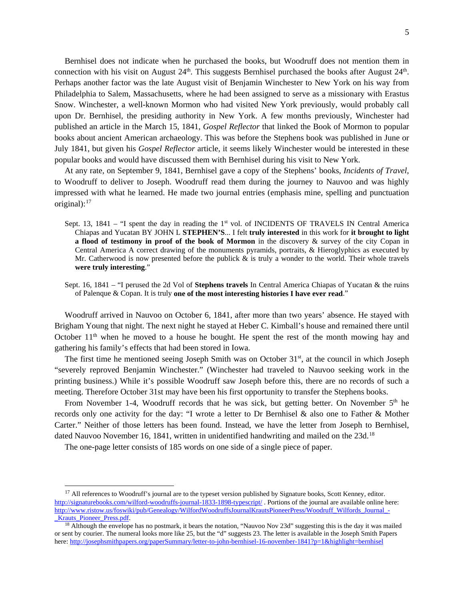Bernhisel does not indicate when he purchased the books, but Woodruff does not mention them in connection with his visit on August 24<sup>th</sup>. This suggests Bernhisel purchased the books after August 24<sup>th</sup>. Perhaps another factor was the late August visit of Benjamin Winchester to New York on his way from Philadelphia to Salem, Massachusetts, where he had been assigned to serve as a missionary with Erastus Snow. Winchester, a well-known Mormon who had visited New York previously, would probably call upon Dr. Bernhisel, the presiding authority in New York. A few months previously, Winchester had published an article in the March 15, 1841, *Gospel Reflector* that linked the Book of Mormon to popular books about ancient American archaeology. This was before the Stephens book was published in June or July 1841, but given his *Gospel Reflector* article, it seems likely Winchester would be interested in these popular books and would have discussed them with Bernhisel during his visit to New York.

At any rate, on September 9, 1841, Bernhisel gave a copy of the Stephens' books, *Incidents of Travel*, to Woodruff to deliver to Joseph. Woodruff read them during the journey to Nauvoo and was highly impressed with what he learned. He made two journal entries (emphasis mine, spelling and punctuation original): $17$ 

- Sept. 13, 1841 "I spent the day in reading the 1<sup>st</sup> vol. of INCIDENTS OF TRAVELS IN Central America Chiapas and Yucatan BY JOHN L **STEPHEN'S**... I felt **truly interested** in this work for **it brought to light a flood of testimony in proof of the book of Mormon** in the discovery & survey of the city Copan in Central America A correct drawing of the monuments pyramids, portraits, & Hieroglyphics as executed by Mr. Catherwood is now presented before the publick  $\&$  is truly a wonder to the world. Their whole travels **were truly interesting**."
- Sept. 16, 1841 "I perused the 2d Vol of **Stephens travels** In Central America Chiapas of Yucatan & the ruins of Palenque & Copan. It is truly **one of the most interesting histories I have ever read**."

Woodruff arrived in Nauvoo on October 6, 1841, after more than two years' absence. He stayed with Brigham Young that night. The next night he stayed at Heber C. Kimball's house and remained there until October 11<sup>th</sup> when he moved to a house he bought. He spent the rest of the month mowing hay and gathering his family's effects that had been stored in Iowa.

The first time he mentioned seeing Joseph Smith was on October  $31<sup>st</sup>$ , at the council in which Joseph "severely reproved Benjamin Winchester." (Winchester had traveled to Nauvoo seeking work in the printing business.) While it's possible Woodruff saw Joseph before this, there are no records of such a meeting. Therefore October 31st may have been his first opportunity to transfer the Stephens books.

From November 1-4, Woodruff records that he was sick, but getting better. On November  $5<sup>th</sup>$  he records only one activity for the day: "I wrote a letter to Dr Bernhisel & also one to Father & Mother Carter." Neither of those letters has been found. Instead, we have the letter from Joseph to Bernhisel, dated Nauvoo November 16, [18](#page-5-1)41, written in unidentified handwriting and mailed on the 23d.<sup>18</sup>

The one-page letter consists of 185 words on one side of a single piece of paper.

<span id="page-5-0"></span><sup>&</sup>lt;sup>17</sup> All references to Woodruff's journal are to the typeset version published by Signature books, Scott Kenney, editor. <http://signaturebooks.com/wilford-woodruffs-journal-1833-1898-typescript/> . Portions of the journal are available online here: [http://www.ristow.us/foswiki/pub/Genealogy/WilfordWoodruffsJournalKrautsPioneerPress/Woodruff\\_Wilfords\\_Journal\\_-](http://www.ristow.us/foswiki/pub/Genealogy/WilfordWoodruffsJournalKrautsPioneerPress/Woodruff_Wilfords_Journal_-_Krauts_Pioneer_Press.pdf) Krauts Pioneer Press.pdf.

<span id="page-5-1"></span><sup>&</sup>lt;sup>18</sup> Although the envelope has no postmark, it bears the notation, "Nauvoo Nov 23d" suggesting this is the day it was mailed or sent by courier. The numeral looks more like 25, but the "d" suggests 23. The letter is available in the Joseph Smith Papers here[: http://josephsmithpapers.org/paperSummary/letter-to-john-bernhisel-16-november-1841?p=1&highlight=bernhisel](http://josephsmithpapers.org/paperSummary/letter-to-john-bernhisel-16-november-1841?p=1&highlight=bernhisel)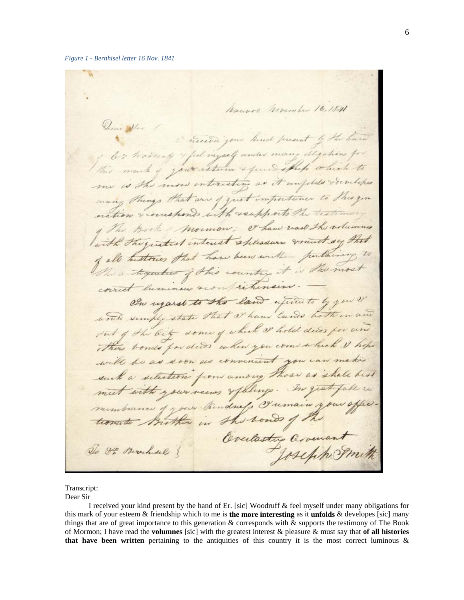Nauvos Movember 16, 184 Dear Vir 1 Tuesda jour hind present by the have I les having & feel ingrely under many degations for This mark of your estern & purs ship which to me is the more enteresting as it unfolds socialities many things that are of quet importance to This you nation & courshonds with roupports the teatiming of The Book Mormon; et haw read the volumns with the gustest interest spleasure fromt sy that of all histories that have been written purlaining The a together of this country it is the most correct luminous sconfrictionsine. On ugaret to the land wind to by you would semply state that I have lands hother out of the bit some of which or hold decos for and There bonds for decos when you come which I hope convenient you can make will be as soon and setestion from among those as shall with your vers spellings. In gratiful mus hance of your thendress Iremain your of Brother in the wonds of Evelastry Cover Do 89 Beachese 8

Transcript:

Dear Sir

I received your kind present by the hand of Er. [sic] Woodruff & feel myself under many obligations for this mark of your esteem & friendship which to me is **the more interesting** as it **unfolds** & developes [sic] many things that are of great importance to this generation & corresponds with & supports the testimony of The Book of Mormon; I have read the **volumnes** [sic] with the greatest interest & pleasure & must say that **of all histories that have been written** pertaining to the antiquities of this country it is the most correct luminous &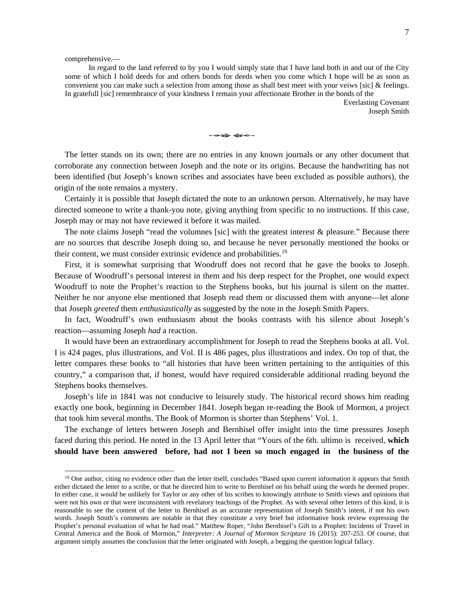comprehensive.—

In regard to the land referred to by you I would simply state that I have land both in and out of the City some of which I hold deeds for and others bonds for deeds when you come which I hope will be as soon as convenient you can make such a selection from among those as shall best meet with your veiws [sic] & feelings. In gratefull [sic] remembrance of your kindness I remain your affectionate Brother in the bonds of the

Everlasting Covenant Joseph Smith

The letter stands on its own; there are no entries in any known journals or any other document that corroborate any connection between Joseph and the note or its origins. Because the handwriting has not been identified (but Joseph's known scribes and associates have been excluded as possible authors), the origin of the note remains a mystery.

Certainly it is possible that Joseph dictated the note to an unknown person. Alternatively, he may have directed someone to write a thank-you note, giving anything from specific to no instructions. If this case, Joseph may or may not have reviewed it before it was mailed.

The note claims Joseph "read the volumnes [sic] with the greatest interest  $\&$  pleasure." Because there are no sources that describe Joseph doing so, and because he never personally mentioned the books or their content, we must consider extrinsic evidence and probabilities.[19](#page-7-0)

First, it is somewhat surprising that Woodruff does not record that he gave the books to Joseph. Because of Woodruff's personal interest in them and his deep respect for the Prophet, one would expect Woodruff to note the Prophet's reaction to the Stephens books, but his journal is silent on the matter. Neither he nor anyone else mentioned that Joseph read them or discussed them with anyone—let alone that Joseph *greeted* them *enthusiastically* as suggested by the note in the Joseph Smith Papers.

In fact, Woodruff's own enthusiasm about the books contrasts with his silence about Joseph's reaction—assuming Joseph *had* a reaction.

It would have been an extraordinary accomplishment for Joseph to read the Stephens books at all. Vol. I is 424 pages, plus illustrations, and Vol. II is 486 pages, plus illustrations and index. On top of that, the letter compares these books to "all histories that have been written pertaining to the antiquities of this country," a comparison that, if honest, would have required considerable additional reading beyond the Stephens books themselves.

Joseph's life in 1841 was not conducive to leisurely study. The historical record shows him reading exactly one book, beginning in December 1841. Joseph began re-reading the Book of Mormon, a project that took him several months. The Book of Mormon is shorter than Stephens' Vol. 1.

The exchange of letters between Joseph and Bernhisel offer insight into the time pressures Joseph faced during this period. He noted in the 13 April letter that "Yours of the 6th. ultimo is received, **which should have been answered before, had not I been so much engaged in the business of the** 

<span id="page-7-0"></span><sup>&</sup>lt;sup>19</sup> One author, citing no evidence other than the letter itself, concludes "Based upon current information it appears that Smith either dictated the letter to a scribe, or that he directed him to write to Bernhisel on his behalf using the words he deemed proper. In either case, it would be unlikely for Taylor or any other of his scribes to knowingly attribute to Smith views and opinions that were not his own or that were inconsistent with revelatory teachings of the Prophet. As with several other letters of this kind, it is reasonable to see the content of the letter to Bernhisel as an accurate representation of Joseph Smith's intent, if not his own words. Joseph Smith's comments are notable in that they constitute a very brief but informative book review expressing the Prophet's personal evaluation of what he had read." Matthew Roper, "John Bernhisel's Gift to a Prophet: Incidents of Travel in Central America and the Book of Mormon," *Interpreter: A Journal of Mormon Scripture* 16 (2015): 207-253. Of course, that argument simply assumes the conclusion that the letter originated with Joseph, a begging the question logical fallacy.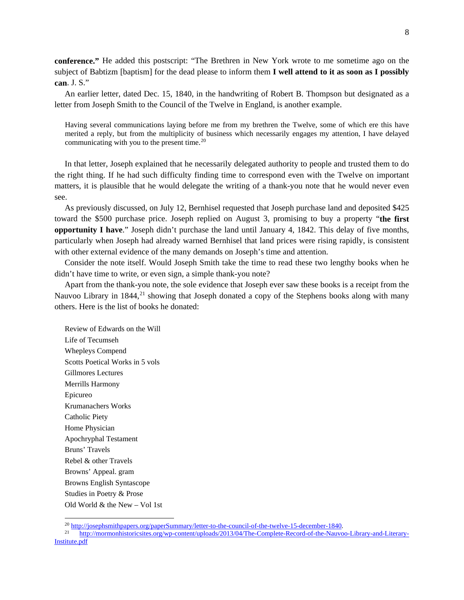**conference."** He added this postscript: "The Brethren in New York wrote to me sometime ago on the subject of Babtizm [baptism] for the dead please to inform them **I well attend to it as soon as I possibly can**. J. S."

An earlier letter, dated Dec. 15, 1840, in the handwriting of Robert B. Thompson but designated as a letter from Joseph Smith to the Council of the Twelve in England, is another example.

Having several communications laying before me from my brethren the Twelve, some of which ere this have merited a reply, but from the multiplicity of business which necessarily engages my attention, I have delayed communicating with you to the present time. [20](#page-8-0)

In that letter, Joseph explained that he necessarily delegated authority to people and trusted them to do the right thing. If he had such difficulty finding time to correspond even with the Twelve on important matters, it is plausible that he would delegate the writing of a thank-you note that he would never even see.

As previously discussed, on July 12, Bernhisel requested that Joseph purchase land and deposited \$425 toward the \$500 purchase price. Joseph replied on August 3, promising to buy a property "**the first opportunity I have**." Joseph didn't purchase the land until January 4, 1842. This delay of five months, particularly when Joseph had already warned Bernhisel that land prices were rising rapidly, is consistent with other external evidence of the many demands on Joseph's time and attention.

Consider the note itself. Would Joseph Smith take the time to read these two lengthy books when he didn't have time to write, or even sign, a simple thank-you note?

Apart from the thank-you note, the sole evidence that Joseph ever saw these books is a receipt from the Nauvoo Library in 1844,<sup>[21](#page-8-1)</sup> showing that Joseph donated a copy of the Stephens books along with many others. Here is the list of books he donated:

Review of Edwards on the Will Life of Tecumseh Whepleys Compend Scotts Poetical Works in 5 vols Gillmores Lectures Merrills Harmony Epicureo Krumanachers Works Catholic Piety Home Physician Apochryphal Testament Bruns' Travels Rebel & other Travels Browns' Appeal. gram Browns English Syntascope Studies in Poetry & Prose Old World & the New – Vol 1st

 $\frac{20 \text{ http://josephsmith papers.org/paperSummary/letter-to-the-counti-of-the-twelve-15-december-1840.}}{\text{http://mormophistoricsites.org/upperCount/nplodes/2013/04/The Complete Record of the Nauvo}$ 

<span id="page-8-1"></span><span id="page-8-0"></span><sup>21</sup> [http://mormonhistoricsites.org/wp-content/uploads/2013/04/The-Complete-Record-of-the-Nauvoo-Library-and-Literary-](http://mormonhistoricsites.org/wp-content/uploads/2013/04/The-Complete-Record-of-the-Nauvoo-Library-and-Literary-Institute.pdf)[Institute.pdf](http://mormonhistoricsites.org/wp-content/uploads/2013/04/The-Complete-Record-of-the-Nauvoo-Library-and-Literary-Institute.pdf)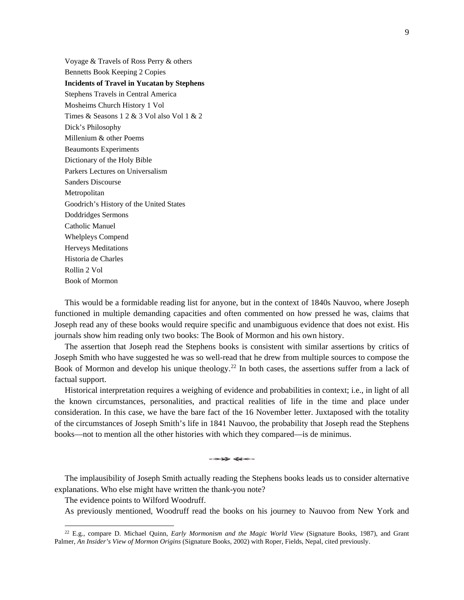Voyage & Travels of Ross Perry & others Bennetts Book Keeping 2 Copies **Incidents of Travel in Yucatan by Stephens**  Stephens Travels in Central America Mosheims Church History 1 Vol Times & Seasons 1 2 & 3 Vol also Vol 1 & 2 Dick's Philosophy Millenium & other Poems Beaumonts Experiments Dictionary of the Holy Bible Parkers Lectures on Universalism Sanders Discourse Metropolitan Goodrich's History of the United States Doddridges Sermons Catholic Manuel Whelpleys Compend Herveys Meditations Historia de Charles Rollin 2 Vol Book of Mormon

This would be a formidable reading list for anyone, but in the context of 1840s Nauvoo, where Joseph functioned in multiple demanding capacities and often commented on how pressed he was, claims that Joseph read any of these books would require specific and unambiguous evidence that does not exist. His journals show him reading only two books: The Book of Mormon and his own history.

The assertion that Joseph read the Stephens books is consistent with similar assertions by critics of Joseph Smith who have suggested he was so well-read that he drew from multiple sources to compose the Book of Mormon and develop his unique theology.<sup>[22](#page-9-0)</sup> In both cases, the assertions suffer from a lack of factual support.

Historical interpretation requires a weighing of evidence and probabilities in context; i.e., in light of all the known circumstances, personalities, and practical realities of life in the time and place under consideration. In this case, we have the bare fact of the 16 November letter. Juxtaposed with the totality of the circumstances of Joseph Smith's life in 1841 Nauvoo, the probability that Joseph read the Stephens books—not to mention all the other histories with which they compared—is de minimus.

The implausibility of Joseph Smith actually reading the Stephens books leads us to consider alternative explanations. Who else might have written the thank-you note?

The evidence points to Wilford Woodruff.

As previously mentioned, Woodruff read the books on his journey to Nauvoo from New York and

<span id="page-9-0"></span> <sup>22</sup> E.g., compare D. Michael Quinn, *Early Mormonism and the Magic World View* (Signature Books, 1987), and Grant Palmer, *An Insider's View of Mormon Origins* (Signature Books, 2002) with Roper, Fields, Nepal, cited previously.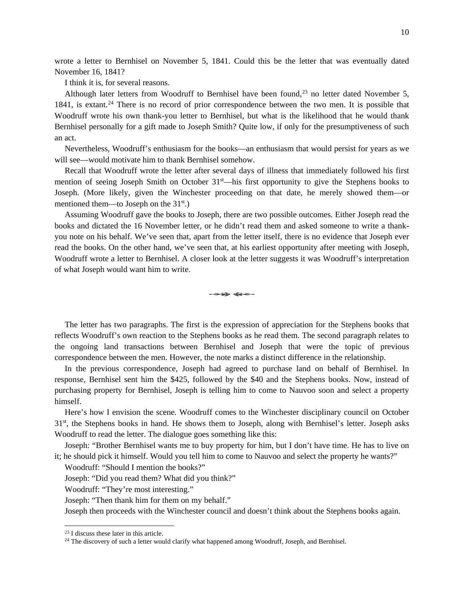wrote a letter to Bernhisel on November 5, 1841. Could this be the letter that was eventually dated November 16, 1841?

I think it is, for several reasons.

Although later letters from Woodruff to Bernhisel have been found,<sup>[23](#page-10-0)</sup> no letter dated November 5, 1841, is extant. [24](#page-10-1) There is no record of prior correspondence between the two men. It is possible that Woodruff wrote his own thank-you letter to Bernhisel, but what is the likelihood that he would thank Bernhisel personally for a gift made to Joseph Smith? Quite low, if only for the presumptiveness of such an act.

Nevertheless, Woodruff's enthusiasm for the books—an enthusiasm that would persist for years as we will see—would motivate him to thank Bernhisel somehow.

Recall that Woodruff wrote the letter after several days of illness that immediately followed his first mention of seeing Joseph Smith on October  $31<sup>st</sup>$ —his first opportunity to give the Stephens books to Joseph. (More likely, given the Winchester proceeding on that date, he merely showed them—or mentioned them—to Joseph on the 31<sup>st</sup>.)

Assuming Woodruff gave the books to Joseph, there are two possible outcomes. Either Joseph read the books and dictated the 16 November letter, or he didn't read them and asked someone to write a thankyou note on his behalf. We've seen that, apart from the letter itself, there is no evidence that Joseph ever read the books. On the other hand, we've seen that, at his earliest opportunity after meeting with Joseph, Woodruff wrote a letter to Bernhisel. A closer look at the letter suggests it was Woodruff's interpretation of what Joseph would want him to write.

 $\rightarrow \rightarrow \rightarrow \rightarrow \rightarrow \rightarrow \rightarrow$ 

The letter has two paragraphs. The first is the expression of appreciation for the Stephens books that reflects Woodruff's own reaction to the Stephens books as he read them. The second paragraph relates to the ongoing land transactions between Bernhisel and Joseph that were the topic of previous correspondence between the men. However, the note marks a distinct difference in the relationship.

In the previous correspondence, Joseph had agreed to purchase land on behalf of Bernhisel. In response, Bernhisel sent him the \$425, followed by the \$40 and the Stephens books. Now, instead of purchasing property for Bernhisel, Joseph is telling him to come to Nauvoo soon and select a property himself.

Here's how I envision the scene. Woodruff comes to the Winchester disciplinary council on October 31st, the Stephens books in hand. He shows them to Joseph, along with Bernhisel's letter. Joseph asks Woodruff to read the letter. The dialogue goes something like this:

Joseph: "Brother Bernhisel wants me to buy property for him, but I don't have time. He has to live on it; he should pick it himself. Would you tell him to come to Nauvoo and select the property he wants?"

Woodruff: "Should I mention the books?"

Joseph: "Did you read them? What did you think?"

Woodruff: "They're most interesting."

Joseph: "Then thank him for them on my behalf."

Joseph then proceeds with the Winchester council and doesn't think about the Stephens books again.

<span id="page-10-0"></span> <sup>23</sup> I discuss these later in this article.

<span id="page-10-1"></span><sup>&</sup>lt;sup>24</sup> The discovery of such a letter would clarify what happened among Woodruff, Joseph, and Bernhisel.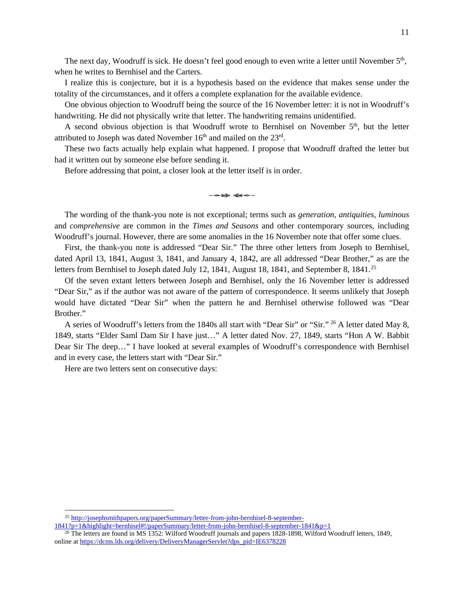The next day, Woodruff is sick. He doesn't feel good enough to even write a letter until November  $5<sup>th</sup>$ , when he writes to Bernhisel and the Carters.

I realize this is conjecture, but it is a hypothesis based on the evidence that makes sense under the totality of the circumstances, and it offers a complete explanation for the available evidence.

One obvious objection to Woodruff being the source of the 16 November letter: it is not in Woodruff's handwriting. He did not physically write that letter. The handwriting remains unidentified.

A second obvious objection is that Woodruff wrote to Bernhisel on November  $5<sup>th</sup>$ , but the letter attributed to Joseph was dated November  $16<sup>th</sup>$  and mailed on the  $23<sup>rd</sup>$ .

These two facts actually help explain what happened. I propose that Woodruff drafted the letter but had it written out by someone else before sending it.

Before addressing that point, a closer look at the letter itself is in order.

The wording of the thank-you note is not exceptional; terms such as *generation, antiquities, luminous* and *comprehensive* are common in the *Times and Seasons* and other contemporary sources, including Woodruff's journal. However, there are some anomalies in the 16 November note that offer some clues.

First, the thank-you note is addressed "Dear Sir." The three other letters from Joseph to Bernhisel, dated April 13, 1841, August 3, 1841, and January 4, 1842, are all addressed "Dear Brother," as are the letters from Bernhisel to Joseph dated July 12, 1841, August 18, 1841, and September 8, 1841.<sup>[25](#page-11-0)</sup>

Of the seven extant letters between Joseph and Bernhisel, only the 16 November letter is addressed "Dear Sir," as if the author was not aware of the pattern of correspondence. It seems unlikely that Joseph would have dictated "Dear Sir" when the pattern he and Bernhisel otherwise followed was "Dear Brother."

A series of Woodruff's letters from the 1840s all start with "Dear Sir" or "Sir." <sup>[26](#page-11-1)</sup> A letter dated May 8, 1849, starts "Elder Saml Dam Sir I have just…" A letter dated Nov. 27, 1849, starts "Hon A W. Babbit Dear Sir The deep…" I have looked at several examples of Woodruff's correspondence with Bernhisel and in every case, the letters start with "Dear Sir."

Here are two letters sent on consecutive days:

 <sup>25</sup> [http://josephsmithpapers.org/paperSummary/letter-from-john-bernhisel-8-september-](http://josephsmithpapers.org/paperSummary/letter-from-john-bernhisel-8-september-1841?p=1&highlight=bernhisel#!/paperSummary/letter-from-john-bernhisel-8-september-1841&p=1)

<span id="page-11-0"></span>[<sup>1841?</sup>p=1&highlight=bernhisel#!/paperSummary/letter-from-john-bernhisel-8-september-1841&p=1](http://josephsmithpapers.org/paperSummary/letter-from-john-bernhisel-8-september-1841?p=1&highlight=bernhisel#!/paperSummary/letter-from-john-bernhisel-8-september-1841&p=1)

<span id="page-11-1"></span><sup>&</sup>lt;sup>26</sup> The letters are found in MS 1352: Wilford Woodruff journals and papers 1828-1898, Wilford Woodruff letters, 1849, online a[t https://dcms.lds.org/delivery/DeliveryManagerServlet?dps\\_pid=IE6378228](https://dcms.lds.org/delivery/DeliveryManagerServlet?dps_pid=IE6378228)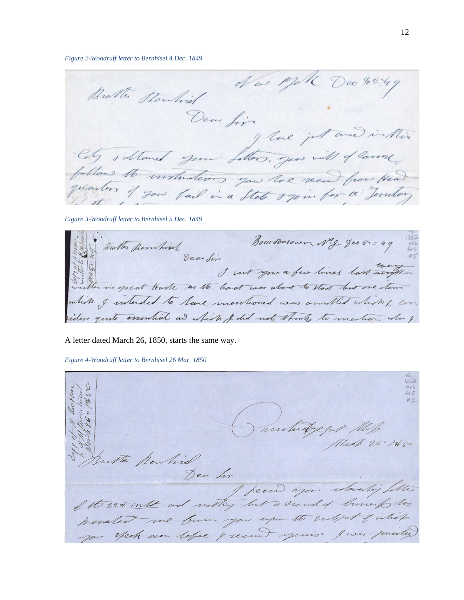*Figure 2-Woodruff letter to Bernhisel 4 Dec. 1849*

New Mik Dec 4549 Bratter Bankind Dear fins I love just and in this Colg sabland your follows, you will of lown follow to untustions you toe seem from Head

*Figure 3-Woodruff letter to Bernhisel 5 Dec. 1849*

Bourdentown Neg ges 5. = 49 Vearder I sent you a few lines last mort white I intended to have membrand was omitted which I can less quite essential and which I did not think to mention when &

A letter dated March 26, 1850, starts the same way.

*Figure 4-Woodruff letter to Bernhisel 26 Mar. 1850*

unhadgept the Rendisd Dea his Itt Est inthe and withy but a crowd of liments to menated me burn you upon to subject of which you spech even lefac & recen yours' I was minted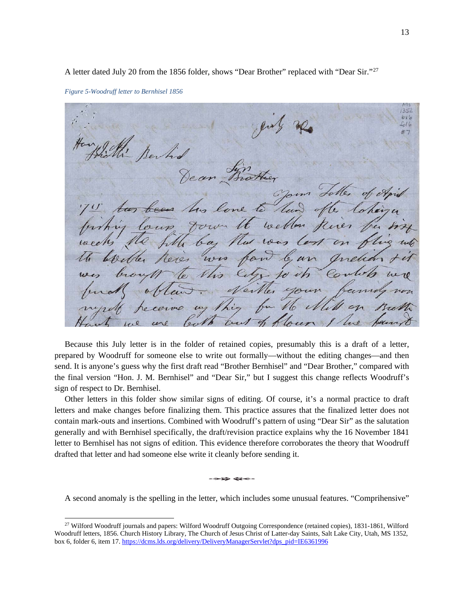A letter dated July 20 from the 1856 folder, shows "Dear Brother" replaced with "Dear Sir."[27](#page-13-0)

*Figure 5-Woodruff letter to Bernhisel 1856*

can trott one to lv weblen ba Und ww een an leres Co Vhis  $10$  $\sqrt{h}$ eilles hig

Because this July letter is in the folder of retained copies, presumably this is a draft of a letter, prepared by Woodruff for someone else to write out formally—without the editing changes—and then send. It is anyone's guess why the first draft read "Brother Bernhisel" and "Dear Brother," compared with the final version "Hon. J. M. Bernhisel" and "Dear Sir," but I suggest this change reflects Woodruff's sign of respect to Dr. Bernhisel.

Other letters in this folder show similar signs of editing. Of course, it's a normal practice to draft letters and make changes before finalizing them. This practice assures that the finalized letter does not contain mark-outs and insertions. Combined with Woodruff's pattern of using "Dear Sir" as the salutation generally and with Bernhisel specifically, the draft/revision practice explains why the 16 November 1841 letter to Bernhisel has not signs of edition. This evidence therefore corroborates the theory that Woodruff drafted that letter and had someone else write it cleanly before sending it.

 $\rightarrow \rightarrow \rightarrow \rightarrow \rightarrow \rightarrow \rightarrow$ 

A second anomaly is the spelling in the letter, which includes some unusual features. "Comprihensive"

<span id="page-13-0"></span> <sup>27</sup> Wilford Woodruff journals and papers: Wilford Woodruff Outgoing Correspondence (retained copies), 1831-1861, Wilford Woodruff letters, 1856. Church History Library, The Church of Jesus Christ of Latter-day Saints, Salt Lake City, Utah, MS 1352, box 6, folder 6, item 17[. https://dcms.lds.org/delivery/DeliveryManagerServlet?dps\\_pid=IE6361996](https://dcms.lds.org/delivery/DeliveryManagerServlet?dps_pid=IE6361996)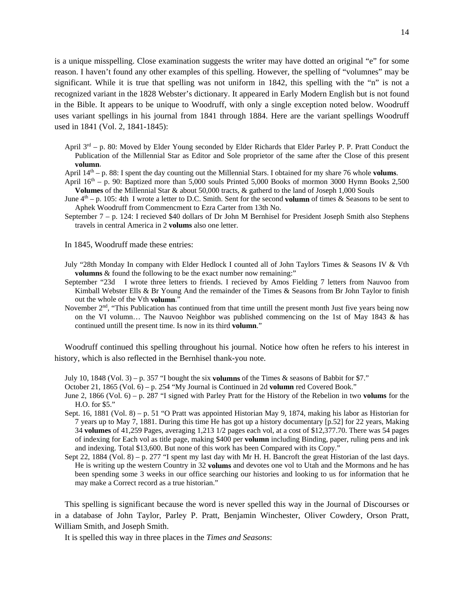is a unique misspelling. Close examination suggests the writer may have dotted an original "e" for some reason. I haven't found any other examples of this spelling. However, the spelling of "volumnes" may be significant. While it is true that spelling was not uniform in 1842, this spelling with the "n" is not a recognized variant in the 1828 Webster's dictionary. It appeared in Early Modern English but is not found in the Bible. It appears to be unique to Woodruff, with only a single exception noted below. Woodruff uses variant spellings in his journal from 1841 through 1884. Here are the variant spellings Woodruff used in 1841 (Vol. 2, 1841-1845):

- April  $3<sup>rd</sup>$  p. 80: Moved by Elder Young seconded by Elder Richards that Elder Parley P. P. Pratt Conduct the Publication of the Millennial Star as Editor and Sole proprietor of the same after the Close of this present **volumn**.
- April  $14<sup>th</sup> p$ . 88: I spent the day counting out the Millennial Stars. I obtained for my share 76 whole **volums**.
- April  $16<sup>th</sup> p$ . 90: Baptized more than 5,000 souls Printed 5,000 Books of mormon 3000 Hymn Books 2,500 **Volumes** of the Millennial Star & about 50,000 tracts, & gatherd to the land of Joseph 1,000 Souls
- June  $4<sup>th</sup> p$ . 105: 4th I wrote a letter to D.C. Smith. Sent for the second **volumn** of times & Seasons to be sent to Aphek Woodruff from Commencment to Ezra Carter from 13th No.
- September 7 p. 124: I recieved \$40 dollars of Dr John M Bernhisel for President Joseph Smith also Stephens travels in central America in 2 **volums** also one letter.

In 1845, Woodruff made these entries:

- July "28th Monday In company with Elder Hedlock I counted all of John Taylors Times & Seasons IV & Vth **volumns** & found the following to be the exact number now remaining:"
- September "23d I wrote three letters to friends. I recieved by Amos Fielding 7 letters from Nauvoo from Kimball Webster Ells & Br Young And the remainder of the Times & Seasons from Br John Taylor to finish out the whole of the Vth **volumn**."
- November 2<sup>nd</sup>, "This Publication has continued from that time untill the present month Just five years being now on the VI volumn… The Nauvoo Neighbor was published commencing on the 1st of May 1843 & has continued untill the present time. Is now in its third **volumn**."

Woodruff continued this spelling throughout his journal. Notice how often he refers to his interest in history, which is also reflected in the Bernhisel thank-you note.

- July 10, 1848 (Vol. 3) p. 357 "I bought the six **volumns** of the Times & seasons of Babbit for \$7."
- October 21, 1865 (Vol. 6) p. 254 "My Journal is Continued in 2d **volumn** red Covered Book."
- June 2, 1866 (Vol. 6) p. 287 "I signed with Parley Pratt for the History of the Rebelion in two **volums** for the H.O. for \$5."
- Sept. 16, 1881 (Vol. 8) p. 51 "O Pratt was appointed Historian May 9, 1874, making his labor as Historian for 7 years up to May 7, 1881. During this time He has got up a history documentary [p.52] for 22 years, Making 34 **volumes** of 41,259 Pages, averaging 1,213 1/2 pages each vol, at a cost of \$12,377.70. There was 54 pages of indexing for Each vol as title page, making \$400 per **volumn** including Binding, paper, ruling pens and ink and indexing. Total \$13,600. But none of this work has been Compared with its Copy."
- Sept 22, 1884 (Vol. 8) p. 277 "I spent my last day with Mr H. H. Bancroft the great Historian of the last days. He is writing up the western Country in 32 **volums** and devotes one vol to Utah and the Mormons and he has been spending some 3 weeks in our office searching our histories and looking to us for information that he may make a Correct record as a true historian."

This spelling is significant because the word is never spelled this way in the Journal of Discourses or in a database of John Taylor, Parley P. Pratt, Benjamin Winchester, Oliver Cowdery, Orson Pratt, William Smith, and Joseph Smith.

It is spelled this way in three places in the *Times and Seasons*: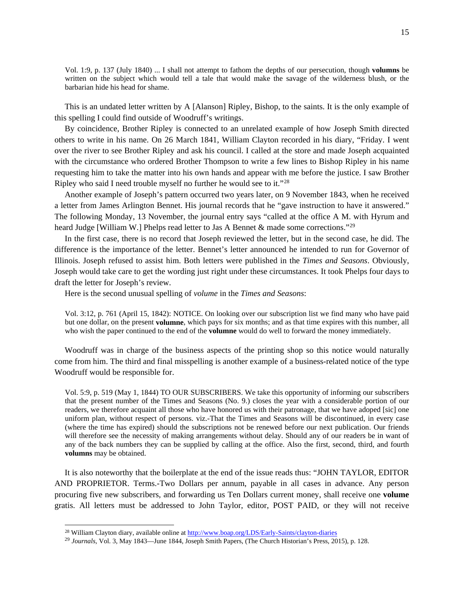Vol. 1:9, p. 137 (July 1840) ... I shall not attempt to fathom the depths of our persecution, though **volumns** be written on the subject which would tell a tale that would make the savage of the wilderness blush, or the barbarian hide his head for shame.

This is an undated letter written by A [Alanson] Ripley, Bishop, to the saints. It is the only example of this spelling I could find outside of Woodruff's writings.

By coincidence, Brother Ripley is connected to an unrelated example of how Joseph Smith directed others to write in his name. On 26 March 1841, William Clayton recorded in his diary, "Friday. I went over the river to see Brother Ripley and ask his council. I called at the store and made Joseph acquainted with the circumstance who ordered Brother Thompson to write a few lines to Bishop Ripley in his name requesting him to take the matter into his own hands and appear with me before the justice. I saw Brother Ripley who said I need trouble myself no further he would see to it."[28](#page-15-0)

Another example of Joseph's pattern occurred two years later, on 9 November 1843, when he received a letter from James Arlington Bennet. His journal records that he "gave instruction to have it answered." The following Monday, 13 November, the journal entry says "called at the office A M. with Hyrum and heard Judge [William W.] Phelps read letter to Jas A Bennet & made some corrections."<sup>[29](#page-15-1)</sup>

In the first case, there is no record that Joseph reviewed the letter, but in the second case, he did. The difference is the importance of the letter. Bennet's letter announced he intended to run for Governor of Illinois. Joseph refused to assist him. Both letters were published in the *Times and Seasons*. Obviously, Joseph would take care to get the wording just right under these circumstances. It took Phelps four days to draft the letter for Joseph's review.

Here is the second unusual spelling of *volume* in the *Times and Seasons*:

Vol. 3:12, p. 761 (April 15, 1842): NOTICE. On looking over our subscription list we find many who have paid but one dollar, on the present **volumne**, which pays for six months; and as that time expires with this number, all who wish the paper continued to the end of the **volumne** would do well to forward the money immediately.

Woodruff was in charge of the business aspects of the printing shop so this notice would naturally come from him. The third and final misspelling is another example of a business-related notice of the type Woodruff would be responsible for.

Vol. 5:9, p. 519 (May 1, 1844) TO OUR SUBSCRIBERS. We take this opportunity of informing our subscribers that the present number of the Times and Seasons (No. 9.) closes the year with a considerable portion of our readers, we therefore acquaint all those who have honored us with their patronage, that we have adoped [sic] one uniform plan, without respect of persons. viz.-That the Times and Seasons will be discontinued, in every case (where the time has expired) should the subscriptions not be renewed before our next publication. Our friends will therefore see the necessity of making arrangements without delay. Should any of our readers be in want of any of the back numbers they can be supplied by calling at the office. Also the first, second, third, and fourth **volumns** may be obtained.

It is also noteworthy that the boilerplate at the end of the issue reads thus: "JOHN TAYLOR, EDITOR AND PROPRIETOR. Terms.-Two Dollars per annum, payable in all cases in advance. Any person procuring five new subscribers, and forwarding us Ten Dollars current money, shall receive one **volume** gratis. All letters must be addressed to John Taylor, editor, POST PAID, or they will not receive

<sup>&</sup>lt;sup>28</sup> William Clayton diary, available online a[t http://www.boap.org/LDS/Early-Saints/clayton-diaries](http://www.boap.org/LDS/Early-Saints/clayton-diaries)

<span id="page-15-1"></span><span id="page-15-0"></span><sup>29</sup> *Journals*, Vol. 3, May 1843—June 1844, Joseph Smith Papers, (The Church Historian's Press, 2015), p. 128.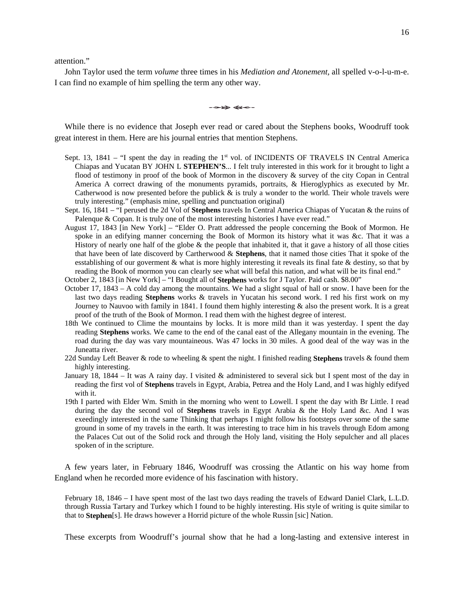attention."

John Taylor used the term *volume* three times in his *Mediation and Atonement,* all spelled v-o-l-u-m-e. I can find no example of him spelling the term any other way.

While there is no evidence that Joseph ever read or cared about the Stephens books, Woodruff took great interest in them. Here are his journal entries that mention Stephens.

- Sept. 13,  $1841 -$  "I spent the day in reading the 1<sup>st</sup> vol. of INCIDENTS OF TRAVELS IN Central America Chiapas and Yucatan BY JOHN L **STEPHEN'S**... I felt truly interested in this work for it brought to light a flood of testimony in proof of the book of Mormon in the discovery & survey of the city Copan in Central America A correct drawing of the monuments pyramids, portraits, & Hieroglyphics as executed by Mr. Catherwood is now presented before the publick  $\&$  is truly a wonder to the world. Their whole travels were truly interesting." (emphasis mine, spelling and punctuation original)
- Sept. 16, 1841 "I perused the 2d Vol of **Stephens** travels In Central America Chiapas of Yucatan & the ruins of Palenque & Copan. It is truly one of the most interesting histories I have ever read."
- August 17, 1843 [in New York] "Elder O. Pratt addressed the people concerning the Book of Mormon. He spoke in an edifying manner concerning the Book of Mormon its history what it was &c. That it was a History of nearly one half of the globe & the people that inhabited it, that it gave a history of all those cities that have been of late discoverd by Cartherwood & **Stephens**, that it named those cities That it spoke of the esstablishing of our goverment & what is more highly interesting it reveals its final fate & destiny, so that by reading the Book of mormon you can clearly see what will befal this nation, and what will be its final end."
- October 2, 1843 [in New York] "I Bought all of **Stephens** works for J Taylor. Paid cash. \$8.00"
- October 17, 1843 A cold day among the mountains. We had a slight squal of hall or snow. I have been for the last two days reading **Stephens** works & travels in Yucatan his second work. I red his first work on my Journey to Nauvoo with family in 1841. I found them highly interesting & also the present work. It is a great proof of the truth of the Book of Mormon. I read them with the highest degree of interest.
- 18th We continued to Clime the mountains by locks. It is more mild than it was yesterday. I spent the day reading **Stephens** works. We came to the end of the canal east of the Allegany mountain in the evening. The road during the day was vary mountaineous. Was 47 locks in 30 miles. A good deal of the way was in the Juneatta river.
- 22d Sunday Left Beaver & rode to wheeling & spent the night. I finished reading **Stephens** travels & found them highly interesting.
- January 18, 1844 It was A rainy day. I visited & administered to several sick but I spent most of the day in reading the first vol of **Stephens** travels in Egypt, Arabia, Petrea and the Holy Land, and I was highly edifyed with it.
- 19th I parted with Elder Wm. Smith in the morning who went to Lowell. I spent the day with Br Little. I read during the day the second vol of **Stephens** travels in Egypt Arabia & the Holy Land &c. And I was exeedingly interested in the same Thinking that perhaps I might follow his footsteps over some of the same ground in some of my travels in the earth. It was interesting to trace him in his travels through Edom among the Palaces Cut out of the Solid rock and through the Holy land, visiting the Holy sepulcher and all places spoken of in the scripture.

A few years later, in February 1846, Woodruff was crossing the Atlantic on his way home from England when he recorded more evidence of his fascination with history.

February 18, 1846 – I have spent most of the last two days reading the travels of Edward Daniel Clark, L.L.D. through Russia Tartary and Turkey which I found to be highly interesting. His style of writing is quite similar to that to **Stephen**[s]. He draws however a Horrid picture of the whole Russin [sic] Nation.

These excerpts from Woodruff's journal show that he had a long-lasting and extensive interest in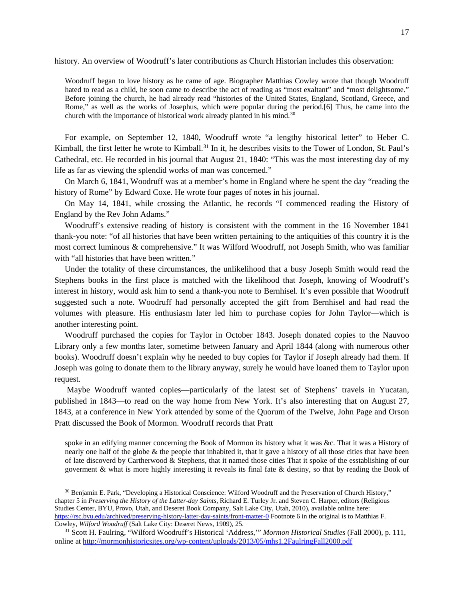history. An overview of Woodruff's later contributions as Church Historian includes this observation:

Woodruff began to love history as he came of age. Biographer Matthias Cowley wrote that though Woodruff hated to read as a child, he soon came to describe the act of reading as "most exaltant" and "most delightsome." Before joining the church, he had already read "histories of the United States, England, Scotland, Greece, and Rome," as well as the works of Josephus, which were popular during the period.[6] Thus, he came into the church with the importance of historical work already planted in his mind.<sup>[30](#page-17-0)</sup>

For example, on September 12, 1840, Woodruff wrote "a lengthy historical letter" to Heber C. Kimball, the first letter he wrote to Kimball.<sup>[31](#page-17-1)</sup> In it, he describes visits to the Tower of London, St. Paul's Cathedral, etc. He recorded in his journal that August 21, 1840: "This was the most interesting day of my life as far as viewing the splendid works of man was concerned."

On March 6, 1841, Woodruff was at a member's home in England where he spent the day "reading the history of Rome" by Edward Coxe. He wrote four pages of notes in his journal.

On May 14, 1841, while crossing the Atlantic, he records "I commenced reading the History of England by the Rev John Adams."

Woodruff's extensive reading of history is consistent with the comment in the 16 November 1841 thank-you note: "of all histories that have been written pertaining to the antiquities of this country it is the most correct luminous & comprehensive." It was Wilford Woodruff, not Joseph Smith, who was familiar with "all histories that have been written."

Under the totality of these circumstances, the unlikelihood that a busy Joseph Smith would read the Stephens books in the first place is matched with the likelihood that Joseph, knowing of Woodruff's interest in history, would ask him to send a thank-you note to Bernhisel. It's even possible that Woodruff suggested such a note. Woodruff had personally accepted the gift from Bernhisel and had read the volumes with pleasure. His enthusiasm later led him to purchase copies for John Taylor—which is another interesting point.

Woodruff purchased the copies for Taylor in October 1843. Joseph donated copies to the Nauvoo Library only a few months later, sometime between January and April 1844 (along with numerous other books). Woodruff doesn't explain why he needed to buy copies for Taylor if Joseph already had them. If Joseph was going to donate them to the library anyway, surely he would have loaned them to Taylor upon request.

Maybe Woodruff wanted copies—particularly of the latest set of Stephens' travels in Yucatan, published in 1843—to read on the way home from New York. It's also interesting that on August 27, 1843, at a conference in New York attended by some of the Quorum of the Twelve, John Page and Orson Pratt discussed the Book of Mormon. Woodruff records that Pratt

spoke in an edifying manner concerning the Book of Mormon its history what it was &c. That it was a History of nearly one half of the globe  $\&$  the people that inhabited it, that it gave a history of all those cities that have been of late discoverd by Cartherwood & Stephens, that it named those cities That it spoke of the esstablishing of our goverment & what is more highly interesting it reveals its final fate & destiny, so that by reading the Book of

<span id="page-17-0"></span> <sup>30</sup> Benjamin E. Park, "Developing a Historical Conscience: Wilford Woodruff and the Preservation of Church History," chapter 5 in *Preserving the History of the Latter-day Saints*, Richard E. Turley Jr. and Steven C. Harper, editors (Religious Studies Center, BYU, Provo, Utah, and Deseret Book Company, Salt Lake City, Utah, 2010), available online here: <https://rsc.byu.edu/archived/preserving-history-latter-day-saints/front-matter-0> Footnote 6 in the original is to Matthias F. Cowley, *Wilford Woodruff* (Salt Lake City: Deseret News, 1909), 25.

<span id="page-17-1"></span><sup>31</sup> Scott H. Faulring, "Wilford Woodruff's Historical 'Address,'" *Mormon Historical Studies* (Fall 2000), p. 111, online at<http://mormonhistoricsites.org/wp-content/uploads/2013/05/mhs1.2FaulringFall2000.pdf>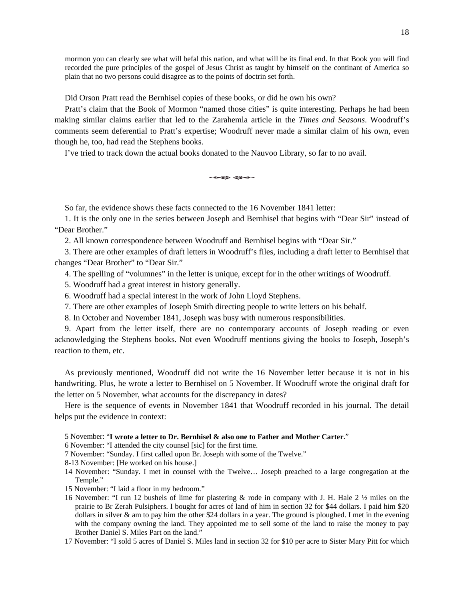mormon you can clearly see what will befal this nation, and what will be its final end. In that Book you will find recorded the pure principles of the gospel of Jesus Christ as taught by himself on the continant of America so plain that no two persons could disagree as to the points of doctrin set forth.

Did Orson Pratt read the Bernhisel copies of these books, or did he own his own?

Pratt's claim that the Book of Mormon "named those cities" is quite interesting. Perhaps he had been making similar claims earlier that led to the Zarahemla article in the *Times and Seasons*. Woodruff's comments seem deferential to Pratt's expertise; Woodruff never made a similar claim of his own, even though he, too, had read the Stephens books.

I've tried to track down the actual books donated to the Nauvoo Library, so far to no avail.

So far, the evidence shows these facts connected to the 16 November 1841 letter:

1. It is the only one in the series between Joseph and Bernhisel that begins with "Dear Sir" instead of "Dear Brother."

2. All known correspondence between Woodruff and Bernhisel begins with "Dear Sir."

3. There are other examples of draft letters in Woodruff's files, including a draft letter to Bernhisel that changes "Dear Brother" to "Dear Sir."

4. The spelling of "volumnes" in the letter is unique, except for in the other writings of Woodruff.

- 5. Woodruff had a great interest in history generally.
- 6. Woodruff had a special interest in the work of John Lloyd Stephens.
- 7. There are other examples of Joseph Smith directing people to write letters on his behalf.

8. In October and November 1841, Joseph was busy with numerous responsibilities.

9. Apart from the letter itself, there are no contemporary accounts of Joseph reading or even acknowledging the Stephens books. Not even Woodruff mentions giving the books to Joseph, Joseph's reaction to them, etc.

As previously mentioned, Woodruff did not write the 16 November letter because it is not in his handwriting. Plus, he wrote a letter to Bernhisel on 5 November. If Woodruff wrote the original draft for the letter on 5 November, what accounts for the discrepancy in dates?

Here is the sequence of events in November 1841 that Woodruff recorded in his journal. The detail helps put the evidence in context:

5 November: "**I wrote a letter to Dr. Bernhisel & also one to Father and Mother Carter**."

- 6 November: "I attended the city counsel [sic] for the first time.
- 7 November: "Sunday. I first called upon Br. Joseph with some of the Twelve."
- 8-13 November: [He worked on his house.]
- 14 November: "Sunday. I met in counsel with the Twelve… Joseph preached to a large congregation at the Temple."
- 15 November: "I laid a floor in my bedroom."
- 16 November: "I run 12 bushels of lime for plastering & rode in company with J. H. Hale 2 ½ miles on the prairie to Br Zerah Pulsiphers. I bought for acres of land of him in section 32 for \$44 dollars. I paid him \$20 dollars in silver & am to pay him the other \$24 dollars in a year. The ground is ploughed. I met in the evening with the company owning the land. They appointed me to sell some of the land to raise the money to pay Brother Daniel S. Miles Part on the land."
- 17 November: "I sold 5 acres of Daniel S. Miles land in section 32 for \$10 per acre to Sister Mary Pitt for which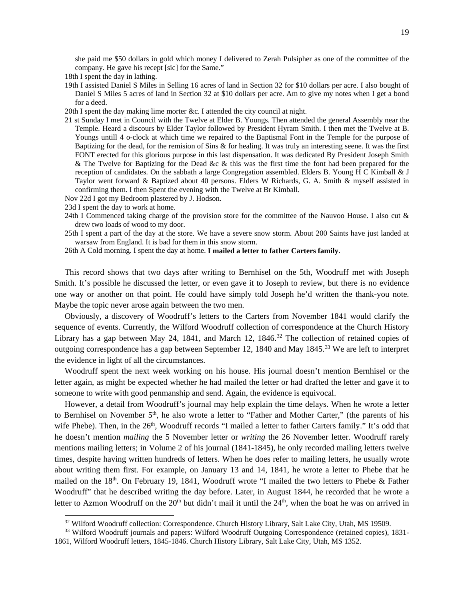she paid me \$50 dollars in gold which money I delivered to Zerah Pulsipher as one of the committee of the company. He gave his recept [sic] for the Same."

- 18th I spent the day in lathing.
- 19th I assisted Daniel S Miles in Selling 16 acres of land in Section 32 for \$10 dollars per acre. I also bought of Daniel S Miles 5 acres of land in Section 32 at \$10 dollars per acre. Am to give my notes when I get a bond for a deed.
- 20th I spent the day making lime morter &c. I attended the city council at night.
- 21 st Sunday I met in Council with the Twelve at Elder B. Youngs. Then attended the general Assembly near the Temple. Heard a discours by Elder Taylor followed by President Hyram Smith. I then met the Twelve at B. Youngs untill 4 o-clock at which time we repaired to the Baptismal Font in the Temple for the purpose of Baptizing for the dead, for the remision of Sins & for healing. It was truly an interesting seene. It was the first FONT erected for this glorious purpose in this last dispensation. It was dedicated By President Joseph Smith & The Twelve for Baptizing for the Dead &c & this was the first time the font had been prepared for the reception of candidates. On the sabbath a large Congregation assembled. Elders B. Young H C Kimball & J Taylor went forward & Baptized about 40 persons. Elders W Richards, G. A. Smith & myself assisted in confirming them. I then Spent the evening with the Twelve at Br Kimball.
- Nov 22d I got my Bedroom plastered by J. Hodson.
- 23d I spent the day to work at home.
- 24th I Commenced taking charge of the provision store for the committee of the Nauvoo House. I also cut & drew two loads of wood to my door.
- 25th I spent a part of the day at the store. We have a severe snow storm. About 200 Saints have just landed at warsaw from England. It is bad for them in this snow storm.
- 26th A Cold morning. I spent the day at home. **I mailed a letter to father Carters family**.

This record shows that two days after writing to Bernhisel on the 5th, Woodruff met with Joseph Smith. It's possible he discussed the letter, or even gave it to Joseph to review, but there is no evidence one way or another on that point. He could have simply told Joseph he'd written the thank-you note. Maybe the topic never arose again between the two men.

Obviously, a discovery of Woodruff's letters to the Carters from November 1841 would clarify the sequence of events. Currently, the Wilford Woodruff collection of correspondence at the Church History Library has a gap between May 24, 1841, and March 12, 1846.<sup>32</sup> The collection of retained copies of outgoing correspondence has a gap between September 12, 1840 and May 1845.<sup>[33](#page-19-1)</sup> We are left to interpret the evidence in light of all the circumstances.

Woodruff spent the next week working on his house. His journal doesn't mention Bernhisel or the letter again, as might be expected whether he had mailed the letter or had drafted the letter and gave it to someone to write with good penmanship and send. Again, the evidence is equivocal.

However, a detail from Woodruff's journal may help explain the time delays. When he wrote a letter to Bernhisel on November 5<sup>th</sup>, he also wrote a letter to "Father and Mother Carter," (the parents of his wife Phebe). Then, in the 26<sup>th</sup>, Woodruff records "I mailed a letter to father Carters family." It's odd that he doesn't mention *mailing* the 5 November letter or *writing* the 26 November letter. Woodruff rarely mentions mailing letters; in Volume 2 of his journal (1841-1845), he only recorded mailing letters twelve times, despite having written hundreds of letters. When he does refer to mailing letters, he usually wrote about writing them first. For example, on January 13 and 14, 1841, he wrote a letter to Phebe that he mailed on the 18<sup>th</sup>. On February 19, 1841, Woodruff wrote "I mailed the two letters to Phebe & Father Woodruff" that he described writing the day before. Later, in August 1844, he recorded that he wrote a letter to Azmon Woodruff on the  $20<sup>th</sup>$  but didn't mail it until the  $24<sup>th</sup>$ , when the boat he was on arrived in

<sup>&</sup>lt;sup>32</sup> Wilford Woodruff collection: Correspondence. Church History Library, Salt Lake City, Utah, MS 19509.

<span id="page-19-1"></span><span id="page-19-0"></span><sup>&</sup>lt;sup>33</sup> Wilford Woodruff journals and papers: Wilford Woodruff Outgoing Correspondence (retained copies), 1831-1861, Wilford Woodruff letters, 1845-1846. Church History Library, Salt Lake City, Utah, MS 1352.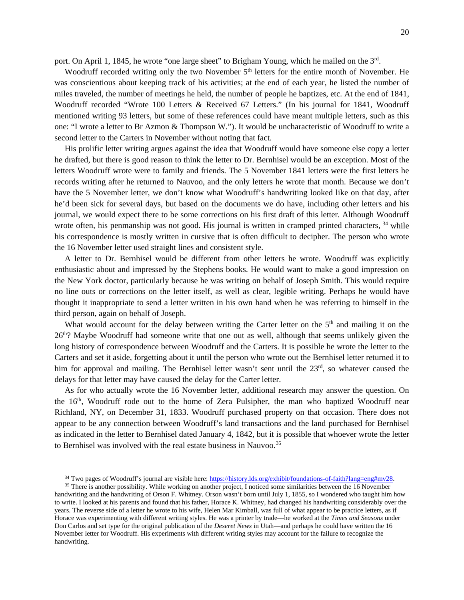port. On April 1, 1845, he wrote "one large sheet" to Brigham Young, which he mailed on the 3rd.

Woodruff recorded writing only the two November  $5<sup>th</sup>$  letters for the entire month of November. He was conscientious about keeping track of his activities; at the end of each year, he listed the number of miles traveled, the number of meetings he held, the number of people he baptizes, etc. At the end of 1841, Woodruff recorded "Wrote 100 Letters & Received 67 Letters." (In his journal for 1841, Woodruff mentioned writing 93 letters, but some of these references could have meant multiple letters, such as this one: "I wrote a letter to Br Azmon & Thompson W."). It would be uncharacteristic of Woodruff to write a second letter to the Carters in November without noting that fact.

His prolific letter writing argues against the idea that Woodruff would have someone else copy a letter he drafted, but there is good reason to think the letter to Dr. Bernhisel would be an exception. Most of the letters Woodruff wrote were to family and friends. The 5 November 1841 letters were the first letters he records writing after he returned to Nauvoo, and the only letters he wrote that month. Because we don't have the 5 November letter, we don't know what Woodruff's handwriting looked like on that day, after he'd been sick for several days, but based on the documents we do have, including other letters and his journal, we would expect there to be some corrections on his first draft of this letter. Although Woodruff wrote often, his penmanship was not good. His journal is written in cramped printed characters, <sup>[34](#page-20-0)</sup> while his correspondence is mostly written in cursive that is often difficult to decipher. The person who wrote the 16 November letter used straight lines and consistent style.

A letter to Dr. Bernhisel would be different from other letters he wrote. Woodruff was explicitly enthusiastic about and impressed by the Stephens books. He would want to make a good impression on the New York doctor, particularly because he was writing on behalf of Joseph Smith. This would require no line outs or corrections on the letter itself, as well as clear, legible writing. Perhaps he would have thought it inappropriate to send a letter written in his own hand when he was referring to himself in the third person, again on behalf of Joseph.

What would account for the delay between writing the Carter letter on the 5<sup>th</sup> and mailing it on the  $26<sup>th</sup>$ ? Maybe Woodruff had someone write that one out as well, although that seems unlikely given the long history of correspondence between Woodruff and the Carters. It is possible he wrote the letter to the Carters and set it aside, forgetting about it until the person who wrote out the Bernhisel letter returned it to him for approval and mailing. The Bernhisel letter wasn't sent until the  $23<sup>rd</sup>$ , so whatever caused the delays for that letter may have caused the delay for the Carter letter.

As for who actually wrote the 16 November letter, additional research may answer the question. On the  $16<sup>th</sup>$ , Woodruff rode out to the home of Zera Pulsipher, the man who baptized Woodruff near Richland, NY, on December 31, 1833. Woodruff purchased property on that occasion. There does not appear to be any connection between Woodruff's land transactions and the land purchased for Bernhisel as indicated in the letter to Bernhisel dated January 4, 1842, but it is possible that whoever wrote the letter to Bernhisel was involved with the real estate business in Nauvoo.<sup>[35](#page-20-1)</sup>

<sup>&</sup>lt;sup>34</sup> Two pages of Woodruff's journal are visible here[: https://history.lds.org/exhibit/foundations-of-faith?lang=eng#mv28.](https://history.lds.org/exhibit/foundations-of-faith?lang=eng#mv28)

<span id="page-20-1"></span><span id="page-20-0"></span><sup>&</sup>lt;sup>35</sup> There is another possibility. While working on another project, I noticed some similarities between the 16 November handwriting and the handwriting of Orson F. Whitney. Orson wasn't born until July 1, 1855, so I wondered who taught him how to write. I looked at his parents and found that his father, Horace K. Whitney, had changed his handwriting considerably over the years. The reverse side of a letter he wrote to his wife, Helen Mar Kimball, was full of what appear to be practice letters, as if Horace was experimenting with different writing styles. He was a printer by trade—he worked at the *Times and Seasons* under Don Carlos and set type for the original publication of the *Deseret News* in Utah—and perhaps he could have written the 16 November letter for Woodruff. His experiments with different writing styles may account for the failure to recognize the handwriting.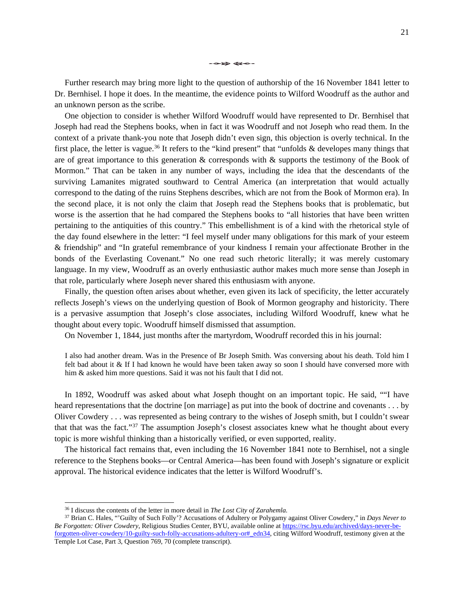Further research may bring more light to the question of authorship of the 16 November 1841 letter to Dr. Bernhisel. I hope it does. In the meantime, the evidence points to Wilford Woodruff as the author and an unknown person as the scribe.

One objection to consider is whether Wilford Woodruff would have represented to Dr. Bernhisel that Joseph had read the Stephens books, when in fact it was Woodruff and not Joseph who read them. In the context of a private thank-you note that Joseph didn't even sign, this objection is overly technical. In the first place, the letter is vague.<sup>[36](#page-21-0)</sup> It refers to the "kind present" that "unfolds  $\&$  developes many things that are of great importance to this generation & corresponds with & supports the testimony of the Book of Mormon." That can be taken in any number of ways, including the idea that the descendants of the surviving Lamanites migrated southward to Central America (an interpretation that would actually correspond to the dating of the ruins Stephens describes, which are not from the Book of Mormon era). In the second place, it is not only the claim that Joseph read the Stephens books that is problematic, but worse is the assertion that he had compared the Stephens books to "all histories that have been written pertaining to the antiquities of this country." This embellishment is of a kind with the rhetorical style of the day found elsewhere in the letter: "I feel myself under many obligations for this mark of your esteem & friendship" and "In grateful remembrance of your kindness I remain your affectionate Brother in the bonds of the Everlasting Covenant." No one read such rhetoric literally; it was merely customary language. In my view, Woodruff as an overly enthusiastic author makes much more sense than Joseph in that role, particularly where Joseph never shared this enthusiasm with anyone.

Finally, the question often arises about whether, even given its lack of specificity, the letter accurately reflects Joseph's views on the underlying question of Book of Mormon geography and historicity. There is a pervasive assumption that Joseph's close associates, including Wilford Woodruff, knew what he thought about every topic. Woodruff himself dismissed that assumption.

On November 1, 1844, just months after the martyrdom, Woodruff recorded this in his journal:

I also had another dream. Was in the Presence of Br Joseph Smith. Was conversing about his death. Told him I felt bad about it & If I had known he would have been taken away so soon I should have conversed more with him & asked him more questions. Said it was not his fault that I did not.

In 1892, Woodruff was asked about what Joseph thought on an important topic. He said, ""I have heard representations that the doctrine [on marriage] as put into the book of doctrine and covenants . . . by Oliver Cowdery . . . was represented as being contrary to the wishes of Joseph smith, but I couldn't swear that that was the fact."[37](#page-21-1) The assumption Joseph's closest associates knew what he thought about every topic is more wishful thinking than a historically verified, or even supported, reality.

The historical fact remains that, even including the 16 November 1841 note to Bernhisel, not a single reference to the Stephens books—or Central America—has been found with Joseph's signature or explicit approval. The historical evidence indicates that the letter is Wilford Woodruff's.

 <sup>36</sup> I discuss the contents of the letter in more detail in *The Lost City of Zarahemla.*

<span id="page-21-1"></span><span id="page-21-0"></span><sup>37</sup> Brian C. Hales, "'Guilty of Such Folly'? Accusations of Adultery or Polygamy against Oliver Cowdery," in *Days Never to Be Forgotten: Oliver Cowdery*, Religious Studies Center, BYU, available online at [https://rsc.byu.edu/archived/days-never-be](https://rsc.byu.edu/archived/days-never-be-forgotten-oliver-cowdery/10-guilty-such-folly-accusations-adultery-or#_edn34)[forgotten-oliver-cowdery/10-guilty-such-folly-accusations-adultery-or#\\_edn34,](https://rsc.byu.edu/archived/days-never-be-forgotten-oliver-cowdery/10-guilty-such-folly-accusations-adultery-or#_edn34) citing Wilford Woodruff, testimony given at the Temple Lot Case, Part 3, Question 769, 70 (complete transcript).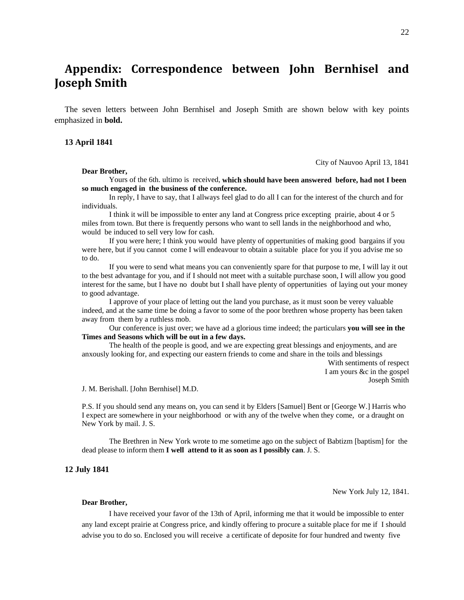# **Appendix: Correspondence between John Bernhisel and Joseph Smith**

The seven letters between John Bernhisel and Joseph Smith are shown below with key points emphasized in **bold.**

## **13 April 1841**

City of Nauvoo April 13, 1841

#### **Dear Brother,**

Yours of the 6th. ultimo is received, **which should have been answered before, had not I been so much engaged in the business of the conference.**

In reply, I have to say, that I allways feel glad to do all I can for the interest of the church and for individuals.

I think it will be impossible to enter any land at Congress price excepting prairie, about 4 or 5 miles from town. But there is frequently persons who want to sell lands in the neighborhood and who, would be induced to sell very low for cash.

If you were here; I think you would have plenty of oppertunities of making good bargains if you were here, but if you cannot come I will endeavour to obtain a suitable place for you if you advise me so to do.

If you were to send what means you can conveniently spare for that purpose to me, I will lay it out to the best advantage for you, and if I should not meet with a suitable purchase soon, I will allow you good interest for the same, but I have no doubt but I shall have plenty of oppertunities of laying out your money to good advantage.

I approve of your place of letting out the land you purchase, as it must soon be verey valuable indeed, and at the same time be doing a favor to some of the poor brethren whose property has been taken away from them by a ruthless mob.

Our conference is just over; we have ad a glorious time indeed; the particulars **you will see in the Times and Seasons which will be out in a few days.**

The health of the people is good, and we are expecting great blessings and enjoyments, and are anxously looking for, and expecting our eastern friends to come and share in the toils and blessings

> With sentiments of respect I am yours &c in the gospel Joseph Smith

J. M. Berishall. [John Bernhisel] M.D.

P.S. If you should send any means on, you can send it by Elders [Samuel] Bent or [George W.] Harris who I expect are somewhere in your neighborhood or with any of the twelve when they come, or a draught on New York by mail. J. S.

The Brethren in New York wrote to me sometime ago on the subject of Babtizm [baptism] for the dead please to inform them **I well attend to it as soon as I possibly can**. J. S.

#### **12 July 1841**

New York July 12, 1841.

#### **Dear Brother,**

I have received your favor of the 13th of April, informing me that it would be impossible to enter any land except prairie at Congress price, and kindly offering to procure a suitable place for me if I should advise you to do so. Enclosed you will receive a certificate of deposite for four hundred and twenty five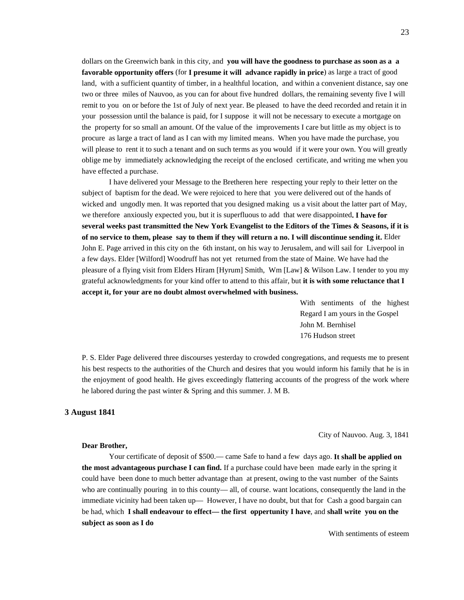dollars on the Greenwich bank in this city, and **you will have the goodness to purchase as soon as a a favorable opportunity offers** (for **I presume it will advance rapidly in price**) as large a tract of good land, with a sufficient quantity of timber, in a healthful location, and within a convenient distance, say one two or three miles of Nauvoo, as you can for about five hundred dollars, the remaining seventy five I will remit to you on or before the 1st of July of next year. Be pleased to have the deed recorded and retain it in your possession until the balance is paid, for I suppose it will not be necessary to execute a mortgage on the property for so small an amount. Of the value of the improvements I care but little as my object is to procure as large a tract of land as I can with my limited means. When you have made the purchase, you will please to rent it to such a tenant and on such terms as you would if it were your own. You will greatly oblige me by immediately acknowledging the receipt of the enclosed certificate, and writing me when you have effected a purchase.

I have delivered your Message to the Bretheren here respecting your reply to their letter on the subject of baptism for the dead. We were rejoiced to here that you were delivered out of the hands of wicked and ungodly men. It was reported that you designed making us a visit about the latter part of May, we therefore anxiously expected you, but it is superfluous to add that were disappointed**. I have for several weeks past transmitted the New York Evangelist to the Editors of the Times & Seasons, if it is of no service to them, please say to them if they will return a no. I will discontinue sending it.** Elder John E. Page arrived in this city on the 6th instant, on his way to Jerusalem, and will sail for Liverpool in a few days. Elder [Wilford] Woodruff has not yet returned from the state of Maine. We have had the pleasure of a flying visit from Elders Hiram [Hyrum] Smith, Wm [Law] & Wilson Law. I tender to you my grateful acknowledgments for your kind offer to attend to this affair, but **it is with some reluctance that I accept it, for your are no doubt almost overwhelmed with business.**

> With sentiments of the highest Regard I am yours in the Gospel John M. Bernhisel 176 Hudson street

P. S. Elder Page delivered three discourses yesterday to crowded congregations, and requests me to present his best respects to the authorities of the Church and desires that you would inform his family that he is in the enjoyment of good health. He gives exceedingly flattering accounts of the progress of the work where he labored during the past winter & Spring and this summer. J. M B.

## **3 August 1841**

City of Nauvoo. Aug. 3, 1841

### **Dear Brother,**

Your certificate of deposit of \$500.— came Safe to hand a few days ago. **It shall be applied on the most advantageous purchase I can find.** If a purchase could have been made early in the spring it could have been done to much better advantage than at present, owing to the vast number of the Saints who are continually pouring in to this county— all, of course. want locations, consequently the land in the immediate vicinity had been taken up— However, I have no doubt, but that for Cash a good bargain can be had, which **I shall endeavour to effect— the first oppertunity I have**, and **shall write you on the subject as soon as I do**

With sentiments of esteem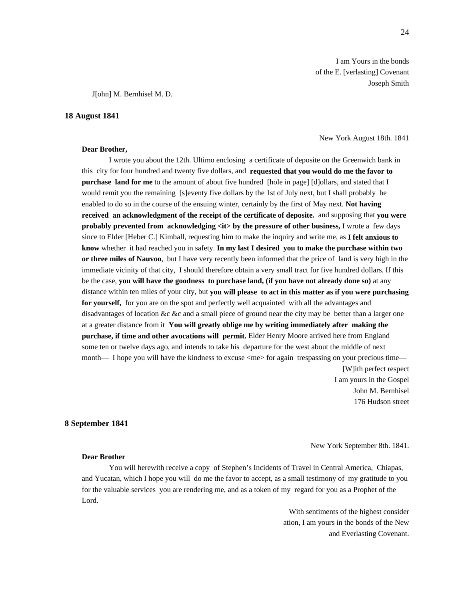I am Yours in the bonds of the E. [verlasting] Covenant Joseph Smith

J[ohn] M. Bernhisel M. D.

#### **18 August 1841**

**Dear Brother,**

New York August 18th. 1841

I wrote you about the 12th. Ultimo enclosing a certificate of deposite on the Greenwich bank in this city for four hundred and twenty five dollars, and **requested that you would do me the favor to purchase land for me** to the amount of about five hundred [hole in page] [d]ollars, and stated that I would remit you the remaining [s]eventy five dollars by the 1st of July next, but I shall probably be enabled to do so in the course of the ensuing winter, certainly by the first of May next. **Not having received an acknowledgment of the receipt of the certificate of deposite**, and supposing that **you were probably prevented from acknowledging**  $\langle$  **<b>it** by the pressure of other business, I wrote a few days since to Elder [Heber C.] Kimball, requesting him to make the inquiry and write me, as **I felt anxious to know** whether it had reached you in safety. **In my last I desired you to make the purchase within two or three miles of Nauvoo**, but I have very recently been informed that the price of land is very high in the immediate vicinity of that city, I should therefore obtain a very small tract for five hundred dollars. If this be the case, **you will have the goodness to purchase land, (if you have not already done so)** at any distance within ten miles of your city, but **you will please to act in this matter as if you were purchasing for yourself,** for you are on the spot and perfectly well acquainted with all the advantages and disadvantages of location &c &c and a small piece of ground near the city may be better than a larger one at a greater distance from it **You will greatly oblige me by writing immediately after making the purchase, if time and other avocations will permit.** Elder Henry Moore arrived here from England some ten or twelve days ago, and intends to take his departure for the west about the middle of next month— I hope you will have the kindness to excuse <me> for again trespassing on your precious time—

[W]ith perfect respect I am yours in the Gospel John M. Bernhisel 176 Hudson street

#### **8 September 1841**

New York September 8th. 1841.

#### **Dear Brother**

You will herewith receive a copy of Stephen's Incidents of Travel in Central America, Chiapas, and Yucatan, which I hope you will do me the favor to accept, as a small testimony of my gratitude to you for the valuable services you are rendering me, and as a token of my regard for you as a Prophet of the Lord.

> With sentiments of the highest consider ation, I am yours in the bonds of the New and Everlasting Covenant.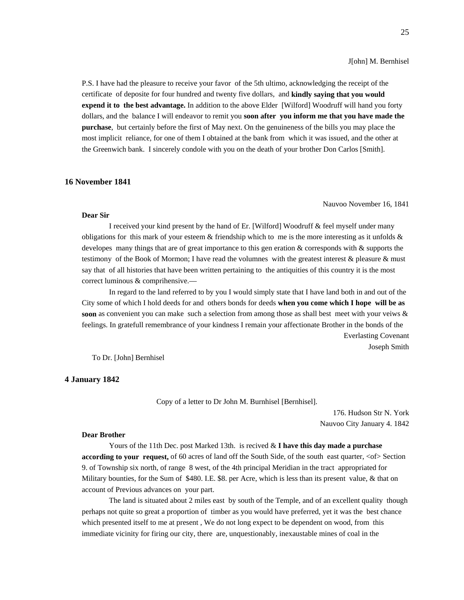J[ohn] M. Bernhisel

P.S. I have had the pleasure to receive your favor of the 5th ultimo, acknowledging the receipt of the certificate of deposite for four hundred and twenty five dollars, and **kindly saying that you would expend it to the best advantage.** In addition to the above Elder [Wilford] Woodruff will hand you forty dollars, and the balance I will endeavor to remit you **soon after you inform me that you have made the purchase**, but certainly before the first of May next. On the genuineness of the bills you may place the most implicit reliance, for one of them I obtained at the bank from which it was issued, and the other at the Greenwich bank. I sincerely condole with you on the death of your brother Don Carlos [Smith].

#### **16 November 1841**

#### Nauvoo November 16, 1841

#### **Dear Sir**

I received your kind present by the hand of Er. [Wilford] Woodruff & feel myself under many obligations for this mark of your esteem  $&$  friendship which to me is the more interesting as it unfolds  $&$ developes many things that are of great importance to this gen eration & corresponds with & supports the testimony of the Book of Mormon; I have read the volumnes with the greatest interest & pleasure & must say that of all histories that have been written pertaining to the antiquities of this country it is the most correct luminous & comprihensive.—

In regard to the land referred to by you I would simply state that I have land both in and out of the City some of which I hold deeds for and others bonds for deeds **when you come which I hope will be as soon** as convenient you can make such a selection from among those as shall best meet with your veiws & feelings. In gratefull remembrance of your kindness I remain your affectionate Brother in the bonds of the

Everlasting Covenant Joseph Smith

To Dr. [John] Bernhisel

## **4 January 1842**

Copy of a letter to Dr John M. Burnhisel [Bernhisel].

176. Hudson Str N. York Nauvoo City January 4. 1842

#### **Dear Brother**

Yours of the 11th Dec. post Marked 13th. is recived & **I have this day made a purchase according to your request,** of 60 acres of land off the South Side, of the south east quarter,  $<$  of > Section 9. of Township six north, of range 8 west, of the 4th principal Meridian in the tract appropriated for Military bounties, for the Sum of \$480. I.E. \$8. per Acre, which is less than its present value, & that on account of Previous advances on your part.

The land is situated about 2 miles east by south of the Temple, and of an excellent quality though perhaps not quite so great a proportion of timber as you would have preferred, yet it was the best chance which presented itself to me at present , We do not long expect to be dependent on wood, from this immediate vicinity for firing our city, there are, unquestionably, inexaustable mines of coal in the